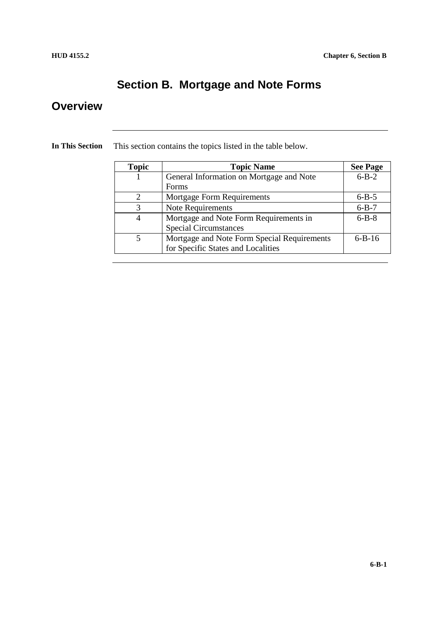## **Section B. Mortgage and Note Forms**

#### **Overview**

| <b>Topic</b>  | <b>Topic Name</b>                           | <b>See Page</b> |
|---------------|---------------------------------------------|-----------------|
|               | General Information on Mortgage and Note    | $6 - B - 2$     |
|               | <b>Forms</b>                                |                 |
| $\mathcal{D}$ | <b>Mortgage Form Requirements</b>           | $6 - B - 5$     |
|               | Note Requirements                           | $6 - B - 7$     |
| 4             | Mortgage and Note Form Requirements in      | $6 - B - 8$     |
|               | <b>Special Circumstances</b>                |                 |
| 5             | Mortgage and Note Form Special Requirements | $6 - B - 16$    |
|               | for Specific States and Localities          |                 |

**In This Section** This section contains the topics listed in the table below.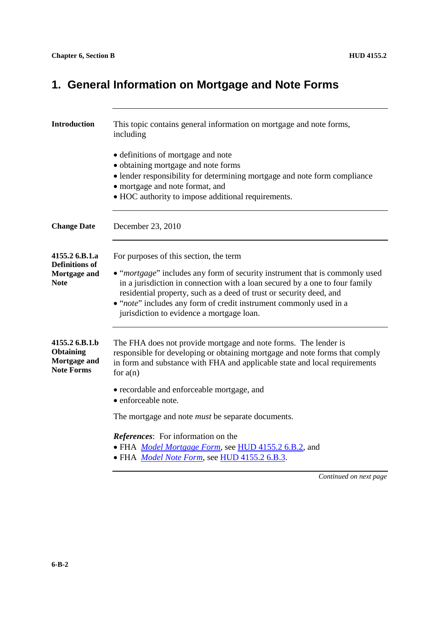# **1. General Information on Mortgage and Note Forms**

| <b>Introduction</b>                                                     | This topic contains general information on mortgage and note forms,<br>including                                                                                                                                                                                                                                                                                                               |  |
|-------------------------------------------------------------------------|------------------------------------------------------------------------------------------------------------------------------------------------------------------------------------------------------------------------------------------------------------------------------------------------------------------------------------------------------------------------------------------------|--|
|                                                                         | • definitions of mortgage and note<br>• obtaining mortgage and note forms<br>• lender responsibility for determining mortgage and note form compliance<br>• mortgage and note format, and<br>• HOC authority to impose additional requirements.                                                                                                                                                |  |
| <b>Change Date</b>                                                      | December 23, 2010                                                                                                                                                                                                                                                                                                                                                                              |  |
| 4155.2 6.B.1.a<br><b>Definitions of</b><br>Mortgage and<br>Note         | For purposes of this section, the term<br>• "mortgage" includes any form of security instrument that is commonly used<br>in a jurisdiction in connection with a loan secured by a one to four family<br>residential property, such as a deed of trust or security deed, and<br>• "note" includes any form of credit instrument commonly used in a<br>jurisdiction to evidence a mortgage loan. |  |
| 4155.2 6.B.1.b<br><b>Obtaining</b><br>Mortgage and<br><b>Note Forms</b> | The FHA does not provide mortgage and note forms. The lender is<br>responsible for developing or obtaining mortgage and note forms that comply<br>in form and substance with FHA and applicable state and local requirements<br>for $a(n)$                                                                                                                                                     |  |
|                                                                         | • recordable and enforceable mortgage, and<br>• enforceable note.                                                                                                                                                                                                                                                                                                                              |  |
|                                                                         | The mortgage and note <i>must</i> be separate documents.                                                                                                                                                                                                                                                                                                                                       |  |
|                                                                         | References: For information on the<br>• FHA <i>Model Mortgage Form</i> , see HUD 4155.2 6.B.2, and<br>• FHA Model Note Form, see HUD 4155.2 6.B.3.                                                                                                                                                                                                                                             |  |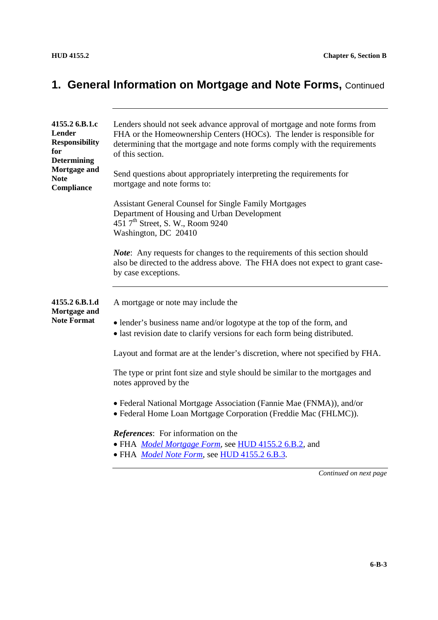# **1. General Information on Mortgage and Note Forms,** Continued

| 4155.2 6.B.1.c<br><b>Lender</b><br><b>Responsibility</b><br>for<br><b>Determining</b><br>Mortgage and<br><b>Note</b><br>Compliance | Lenders should not seek advance approval of mortgage and note forms from<br>FHA or the Homeownership Centers (HOCs). The lender is responsible for<br>determining that the mortgage and note forms comply with the requirements<br>of this section.<br>Send questions about appropriately interpreting the requirements for<br>mortgage and note forms to: |  |
|------------------------------------------------------------------------------------------------------------------------------------|------------------------------------------------------------------------------------------------------------------------------------------------------------------------------------------------------------------------------------------------------------------------------------------------------------------------------------------------------------|--|
|                                                                                                                                    | <b>Assistant General Counsel for Single Family Mortgages</b><br>Department of Housing and Urban Development<br>451 7 <sup>th</sup> Street, S. W., Room 9240<br>Washington, DC 20410<br><i>Note</i> : Any requests for changes to the requirements of this section should                                                                                   |  |
|                                                                                                                                    | also be directed to the address above. The FHA does not expect to grant case-<br>by case exceptions.                                                                                                                                                                                                                                                       |  |
| 4155.2 6.B.1.d<br>Mortgage and                                                                                                     | A mortgage or note may include the                                                                                                                                                                                                                                                                                                                         |  |
| <b>Note Format</b>                                                                                                                 | • lender's business name and/or logotype at the top of the form, and<br>• last revision date to clarify versions for each form being distributed.                                                                                                                                                                                                          |  |
|                                                                                                                                    | Layout and format are at the lender's discretion, where not specified by FHA.                                                                                                                                                                                                                                                                              |  |
|                                                                                                                                    | The type or print font size and style should be similar to the mortgages and<br>notes approved by the                                                                                                                                                                                                                                                      |  |
|                                                                                                                                    | • Federal National Mortgage Association (Fannie Mae (FNMA)), and/or<br>• Federal Home Loan Mortgage Corporation (Freddie Mac (FHLMC)).                                                                                                                                                                                                                     |  |
|                                                                                                                                    | <b>References:</b> For information on the<br>• FHA <i>Model Mortgage Form</i> , see HUD 4155.2 6.B.2, and<br>• FHA Model Note Form, see HUD 4155.2 6.B.3.                                                                                                                                                                                                  |  |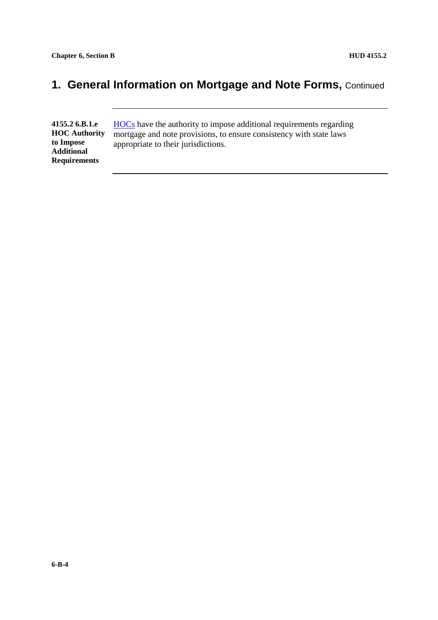## **1. General Information on Mortgage and Note Forms, Continued**

**4155.2 6.B.1.e HOC Authority to Impose Additional Requirements**

HOCs have the authority to impose additional requirements regarding mortgage and note provisions, to ensure consistency with state laws appropriate to their jurisdictions.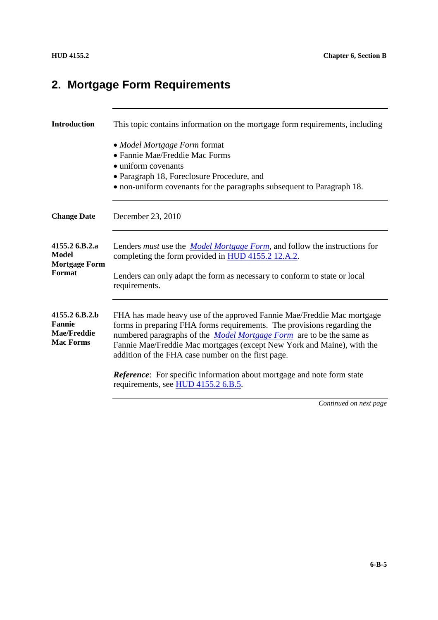# **2. Mortgage Form Requirements**

| <b>Introduction</b>                                                       | This topic contains information on the mortgage form requirements, including                                                                                                                                                                                                                                                                                     |  |
|---------------------------------------------------------------------------|------------------------------------------------------------------------------------------------------------------------------------------------------------------------------------------------------------------------------------------------------------------------------------------------------------------------------------------------------------------|--|
|                                                                           | • Model Mortgage Form format<br>• Fannie Mae/Freddie Mac Forms<br>• uniform covenants<br>• Paragraph 18, Foreclosure Procedure, and<br>• non-uniform covenants for the paragraphs subsequent to Paragraph 18.                                                                                                                                                    |  |
| <b>Change Date</b>                                                        | December 23, 2010                                                                                                                                                                                                                                                                                                                                                |  |
| 4155.2 6.B.2.a<br>Model<br><b>Mortgage Form</b><br>Format                 | Lenders <i>must</i> use the <i>Model Mortgage Form</i> , and follow the instructions for<br>completing the form provided in HUD 4155.2 12.A.2.<br>Lenders can only adapt the form as necessary to conform to state or local<br>requirements.                                                                                                                     |  |
| 4155.2 6.B.2.b<br><b>Fannie</b><br><b>Mae/Freddie</b><br><b>Mac Forms</b> | FHA has made heavy use of the approved Fannie Mae/Freddie Mac mortgage<br>forms in preparing FHA forms requirements. The provisions regarding the<br>numbered paragraphs of the <i>Model Mortgage Form</i> are to be the same as<br>Fannie Mae/Freddie Mac mortgages (except New York and Maine), with the<br>addition of the FHA case number on the first page. |  |
|                                                                           | <b>Reference:</b> For specific information about mortgage and note form state<br>requirements, see HUD 4155.2 6.B.5.                                                                                                                                                                                                                                             |  |
|                                                                           | Continued on next page                                                                                                                                                                                                                                                                                                                                           |  |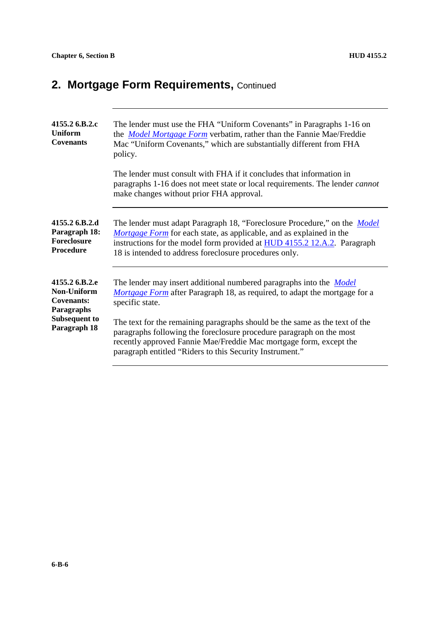# 2. Mortgage Form Requirements, Continued

| 4155.2 6.B.2.c<br><b>Uniform</b><br><b>Covenants</b>                    | The lender must use the FHA "Uniform Covenants" in Paragraphs 1-16 on<br>the <i>Model Mortgage Form</i> verbatim, rather than the Fannie Mae/Freddie<br>Mac "Uniform Covenants," which are substantially different from FHA<br>policy.                                                         |  |
|-------------------------------------------------------------------------|------------------------------------------------------------------------------------------------------------------------------------------------------------------------------------------------------------------------------------------------------------------------------------------------|--|
|                                                                         | The lender must consult with FHA if it concludes that information in<br>paragraphs 1-16 does not meet state or local requirements. The lender <i>cannot</i><br>make changes without prior FHA approval.                                                                                        |  |
| 4155.2 6.B.2.d<br>Paragraph 18:<br>Foreclosure<br><b>Procedure</b>      | The lender must adapt Paragraph 18, "Foreclosure Procedure," on the <i>Model</i><br>Mortgage Form for each state, as applicable, and as explained in the<br>instructions for the model form provided at HUD 4155.2 12.A.2. Paragraph<br>18 is intended to address foreclosure procedures only. |  |
| 4155.2 6.B.2.e<br><b>Non-Uniform</b><br><b>Covenants:</b><br>Paragraphs | The lender may insert additional numbered paragraphs into the <i>Model</i><br><i>Mortgage Form</i> after Paragraph 18, as required, to adapt the mortgage for a<br>specific state.                                                                                                             |  |
| <b>Subsequent to</b><br>Paragraph 18                                    | The text for the remaining paragraphs should be the same as the text of the<br>paragraphs following the foreclosure procedure paragraph on the most<br>recently approved Fannie Mae/Freddie Mac mortgage form, except the<br>paragraph entitled "Riders to this Security Instrument."          |  |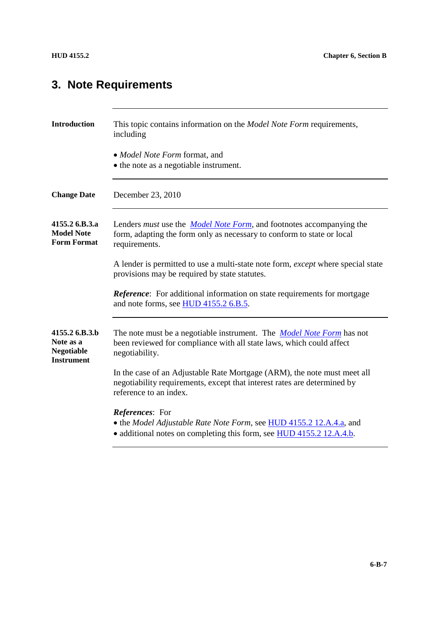# **3. Note Requirements**

| <b>Introduction</b>                                                   | This topic contains information on the <i>Model Note Form</i> requirements,<br>including                                                                                       |  |
|-----------------------------------------------------------------------|--------------------------------------------------------------------------------------------------------------------------------------------------------------------------------|--|
|                                                                       | • Model Note Form format, and<br>• the note as a negotiable instrument.                                                                                                        |  |
| <b>Change Date</b>                                                    | December 23, 2010                                                                                                                                                              |  |
| 4155.2 6.B.3.a<br><b>Model Note</b><br><b>Form Format</b>             | Lenders <i>must</i> use the <i>Model Note Form</i> , and footnotes accompanying the<br>form, adapting the form only as necessary to conform to state or local<br>requirements. |  |
|                                                                       | A lender is permitted to use a multi-state note form, except where special state<br>provisions may be required by state statutes.                                              |  |
|                                                                       | <b>Reference:</b> For additional information on state requirements for mortgage<br>and note forms, see HUD 4155.2 6.B.5.                                                       |  |
| 4155.2 6.B.3.b<br>Note as a<br><b>Negotiable</b><br><b>Instrument</b> | The note must be a negotiable instrument. The <i>Model Note Form</i> has not<br>been reviewed for compliance with all state laws, which could affect<br>negotiability.         |  |
|                                                                       | In the case of an Adjustable Rate Mortgage (ARM), the note must meet all<br>negotiability requirements, except that interest rates are determined by<br>reference to an index. |  |
|                                                                       | <b>References:</b> For<br>• the Model Adjustable Rate Note Form, see HUD 4155.2 12.A.4.a, and<br>• additional notes on completing this form, see HUD 4155.2 12.A.4.b.          |  |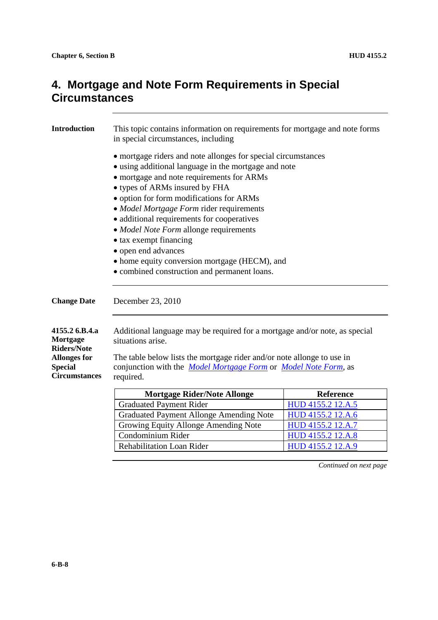| <b>Introduction</b>                                                                                               | This topic contains information on requirements for mortgage and note forms<br>in special circumstances, including                                                                                                                                                                                                                                                                                                                                                                                                                     |                   |  |
|-------------------------------------------------------------------------------------------------------------------|----------------------------------------------------------------------------------------------------------------------------------------------------------------------------------------------------------------------------------------------------------------------------------------------------------------------------------------------------------------------------------------------------------------------------------------------------------------------------------------------------------------------------------------|-------------------|--|
|                                                                                                                   | • mortgage riders and note allonges for special circumstances<br>• using additional language in the mortgage and note<br>· mortgage and note requirements for ARMs<br>• types of ARMs insured by FHA<br>• option for form modifications for ARMs<br>• Model Mortgage Form rider requirements<br>• additional requirements for cooperatives<br>• Model Note Form allonge requirements<br>• tax exempt financing<br>• open end advances<br>• home equity conversion mortgage (HECM), and<br>• combined construction and permanent loans. |                   |  |
| <b>Change Date</b>                                                                                                | December 23, 2010                                                                                                                                                                                                                                                                                                                                                                                                                                                                                                                      |                   |  |
| 4155.2 6.B.4.a<br>Mortgage<br><b>Riders/Note</b><br><b>Allonges for</b><br><b>Special</b><br><b>Circumstances</b> | Additional language may be required for a mortgage and/or note, as special<br>situations arise.<br>The table below lists the mortgage rider and/or note allonge to use in<br>conjunction with the <i>Model Mortgage Form</i> or <i>Model Note Form</i> , as<br>required.                                                                                                                                                                                                                                                               |                   |  |
|                                                                                                                   | <b>Mortgage Rider/Note Allonge</b>                                                                                                                                                                                                                                                                                                                                                                                                                                                                                                     | <b>Reference</b>  |  |
|                                                                                                                   | <b>Graduated Payment Rider</b>                                                                                                                                                                                                                                                                                                                                                                                                                                                                                                         | HUD 4155.2 12.A.5 |  |
|                                                                                                                   | <b>Graduated Payment Allonge Amending Note</b>                                                                                                                                                                                                                                                                                                                                                                                                                                                                                         | HUD 4155.2 12.A.6 |  |
|                                                                                                                   | Growing Equity Allonge Amending Note                                                                                                                                                                                                                                                                                                                                                                                                                                                                                                   | HUD 4155.2 12.A.7 |  |
|                                                                                                                   | Condominium Rider                                                                                                                                                                                                                                                                                                                                                                                                                                                                                                                      | HUD 4155.2 12.A.8 |  |
|                                                                                                                   | <b>Rehabilitation Loan Rider</b>                                                                                                                                                                                                                                                                                                                                                                                                                                                                                                       | HUD 4155.2 12.A.9 |  |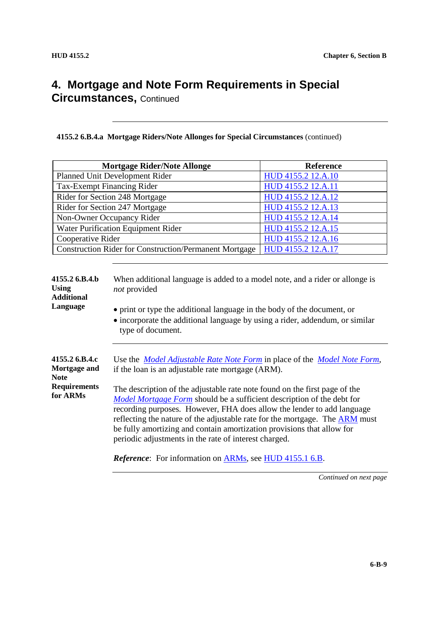**4155.2 6.B.4.a Mortgage Riders/Note Allonges for Special Circumstances** (continued)

|                                                                                                                                                                                                                                                                                                                                                                                                                                                                                                                                                                                                                                                                                    | <b>Reference</b>                                                                                                                                                                                                                                                                                                                                                                                                |  |
|------------------------------------------------------------------------------------------------------------------------------------------------------------------------------------------------------------------------------------------------------------------------------------------------------------------------------------------------------------------------------------------------------------------------------------------------------------------------------------------------------------------------------------------------------------------------------------------------------------------------------------------------------------------------------------|-----------------------------------------------------------------------------------------------------------------------------------------------------------------------------------------------------------------------------------------------------------------------------------------------------------------------------------------------------------------------------------------------------------------|--|
|                                                                                                                                                                                                                                                                                                                                                                                                                                                                                                                                                                                                                                                                                    | HUD 4155.2 12.A.10                                                                                                                                                                                                                                                                                                                                                                                              |  |
|                                                                                                                                                                                                                                                                                                                                                                                                                                                                                                                                                                                                                                                                                    | HUD 4155.2 12.A.11                                                                                                                                                                                                                                                                                                                                                                                              |  |
|                                                                                                                                                                                                                                                                                                                                                                                                                                                                                                                                                                                                                                                                                    | HUD 4155.2 12.A.12                                                                                                                                                                                                                                                                                                                                                                                              |  |
|                                                                                                                                                                                                                                                                                                                                                                                                                                                                                                                                                                                                                                                                                    | HUD 4155.2 12.A.13                                                                                                                                                                                                                                                                                                                                                                                              |  |
|                                                                                                                                                                                                                                                                                                                                                                                                                                                                                                                                                                                                                                                                                    | HUD 4155.2 12.A.14                                                                                                                                                                                                                                                                                                                                                                                              |  |
|                                                                                                                                                                                                                                                                                                                                                                                                                                                                                                                                                                                                                                                                                    | HUD 4155.2 12.A.15                                                                                                                                                                                                                                                                                                                                                                                              |  |
|                                                                                                                                                                                                                                                                                                                                                                                                                                                                                                                                                                                                                                                                                    | HUD 4155.2 12.A.16                                                                                                                                                                                                                                                                                                                                                                                              |  |
|                                                                                                                                                                                                                                                                                                                                                                                                                                                                                                                                                                                                                                                                                    | HUD 4155.2 12.A.17                                                                                                                                                                                                                                                                                                                                                                                              |  |
| not provided<br>• print or type the additional language in the body of the document, or<br>• incorporate the additional language by using a rider, addendum, or similar<br>type of document.                                                                                                                                                                                                                                                                                                                                                                                                                                                                                       |                                                                                                                                                                                                                                                                                                                                                                                                                 |  |
| Use the <i>Model Adjustable Rate Note Form</i> in place of the <i>Model Note Form</i> ,<br>if the loan is an adjustable rate mortgage (ARM).<br>The description of the adjustable rate note found on the first page of the<br>Model Mortgage Form should be a sufficient description of the debt for<br>recording purposes. However, FHA does allow the lender to add language<br>reflecting the nature of the adjustable rate for the mortgage. The ARM must<br>be fully amortizing and contain amortization provisions that allow for<br>periodic adjustments in the rate of interest charged.<br><i>Reference</i> : For information on <b>ARMs</b> , see <b>HUD</b> 4155.1 6.B. |                                                                                                                                                                                                                                                                                                                                                                                                                 |  |
|                                                                                                                                                                                                                                                                                                                                                                                                                                                                                                                                                                                                                                                                                    | <b>Mortgage Rider/Note Allonge</b><br>Planned Unit Development Rider<br>Tax-Exempt Financing Rider<br>Rider for Section 248 Mortgage<br>Rider for Section 247 Mortgage<br>Non-Owner Occupancy Rider<br>Water Purification Equipment Rider<br>Cooperative Rider<br><b>Construction Rider for Construction/Permanent Mortgage</b><br>When additional language is added to a model note, and a rider or allonge is |  |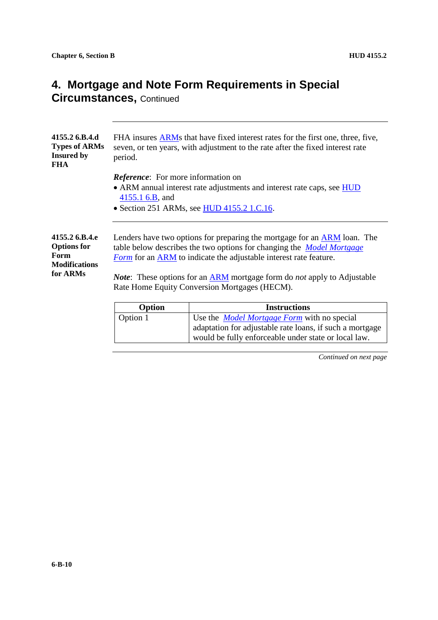| 4155.2 6.B.4.d<br><b>Types of ARMs</b><br><b>Insured by</b><br>FHA               | FHA insures ARMs that have fixed interest rates for the first one, three, five,<br>seven, or ten years, with adjustment to the rate after the fixed interest rate<br>period.                                                                                                                                                                                                           |                                                                        |  |
|----------------------------------------------------------------------------------|----------------------------------------------------------------------------------------------------------------------------------------------------------------------------------------------------------------------------------------------------------------------------------------------------------------------------------------------------------------------------------------|------------------------------------------------------------------------|--|
|                                                                                  | <i>Reference</i> : For more information on<br>4155.1 6.B, and                                                                                                                                                                                                                                                                                                                          | • ARM annual interest rate adjustments and interest rate caps, see HUD |  |
|                                                                                  | • Section 251 ARMs, see HUD 4155.2 1.C.16.                                                                                                                                                                                                                                                                                                                                             |                                                                        |  |
| 4155.2 6.B.4.e<br><b>Options for</b><br>Form<br><b>Modifications</b><br>for ARMs | Lenders have two options for preparing the mortgage for an <b>ARM</b> loan. The<br>table below describes the two options for changing the <i>Model Mortgage</i><br><b>Form</b> for an ARM to indicate the adjustable interest rate feature.<br><i>Note</i> : These options for an ARM mortgage form do <i>not</i> apply to Adjustable<br>Rate Home Equity Conversion Mortgages (HECM). |                                                                        |  |
|                                                                                  |                                                                                                                                                                                                                                                                                                                                                                                        |                                                                        |  |
|                                                                                  | Option                                                                                                                                                                                                                                                                                                                                                                                 | <b>Instructions</b>                                                    |  |
|                                                                                  | Option 1                                                                                                                                                                                                                                                                                                                                                                               | Use the <i>Model Mortgage Form</i> with no special                     |  |
|                                                                                  |                                                                                                                                                                                                                                                                                                                                                                                        | adaptation for adjustable rate loans, if such a mortgage               |  |

*Continued on next page*

would be fully enforceable under state or local law.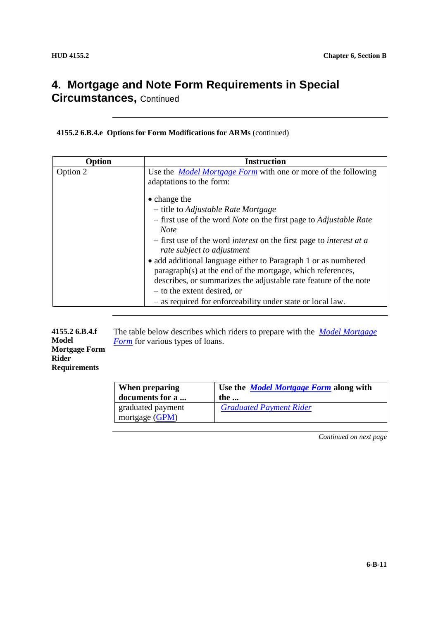**4155.2 6.B.4.e Options for Form Modifications for ARMs** (continued)

| Option   | <b>Instruction</b>                                                                                                                                                                               |
|----------|--------------------------------------------------------------------------------------------------------------------------------------------------------------------------------------------------|
| Option 2 | Use the <i>Model Mortgage Form</i> with one or more of the following<br>adaptations to the form:                                                                                                 |
|          | $\bullet$ change the                                                                                                                                                                             |
|          | - title to Adjustable Rate Mortgage                                                                                                                                                              |
|          | - first use of the word <i>Note</i> on the first page to <i>Adjustable Rate</i><br>Note                                                                                                          |
|          | - first use of the word <i>interest</i> on the first page to <i>interest at a</i><br>rate subject to adjustment                                                                                  |
|          | • add additional language either to Paragraph 1 or as numbered<br>paragraph(s) at the end of the mortgage, which references,<br>describes, or summarizes the adjustable rate feature of the note |
|          | – to the extent desired, or                                                                                                                                                                      |
|          | - as required for enforceability under state or local law.                                                                                                                                       |

| 4155.2 6.B.4.f       | The table below describes which riders to prepare with the <i>Model Mortgage</i> |  |
|----------------------|----------------------------------------------------------------------------------|--|
| Model                |                                                                                  |  |
|                      | <i>Form</i> for various types of loans.                                          |  |
| <b>Mortgage Form</b> |                                                                                  |  |
| <b>Rider</b>         |                                                                                  |  |
| <b>Requirements</b>  |                                                                                  |  |

| When preparing                        | Use the <i>Model Mortgage Form</i> along with |
|---------------------------------------|-----------------------------------------------|
| documents for a                       | the                                           |
| graduated payment<br>mortgage $(GPM)$ | <b>Graduated Payment Rider</b>                |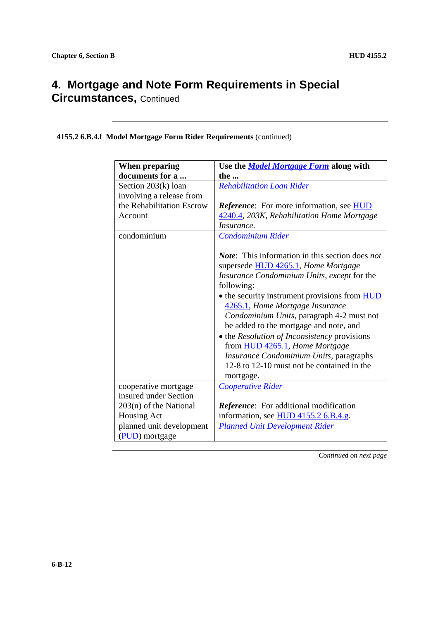**4155.2 6.B.4.f Model Mortgage Form Rider Requirements** (continued)

| <b>When preparing</b>     | Use the <b>Model Mortgage Form</b> along with                                                                                                                                                                                                                                                                                                                                                                                                                                                                                        |
|---------------------------|--------------------------------------------------------------------------------------------------------------------------------------------------------------------------------------------------------------------------------------------------------------------------------------------------------------------------------------------------------------------------------------------------------------------------------------------------------------------------------------------------------------------------------------|
| documents for a           | the                                                                                                                                                                                                                                                                                                                                                                                                                                                                                                                                  |
| Section 203(k) loan       | <b>Rehabilitation Loan Rider</b>                                                                                                                                                                                                                                                                                                                                                                                                                                                                                                     |
| involving a release from  |                                                                                                                                                                                                                                                                                                                                                                                                                                                                                                                                      |
| the Rehabilitation Escrow | <b>Reference:</b> For more information, see <b>HUD</b>                                                                                                                                                                                                                                                                                                                                                                                                                                                                               |
| Account                   | 4240.4, 203K, Rehabilitation Home Mortgage                                                                                                                                                                                                                                                                                                                                                                                                                                                                                           |
|                           | <i>Insurance.</i>                                                                                                                                                                                                                                                                                                                                                                                                                                                                                                                    |
| condominium               | <b>Condominium Rider</b>                                                                                                                                                                                                                                                                                                                                                                                                                                                                                                             |
|                           | <b>Note:</b> This information in this section does not<br>supersede HUD 4265.1, Home Mortgage<br>Insurance Condominium Units, except for the<br>following:<br>• the security instrument provisions from HUD<br>4265.1, Home Mortgage Insurance<br>Condominium Units, paragraph 4-2 must not<br>be added to the mortgage and note, and<br>• the <i>Resolution of Inconsistency</i> provisions<br>from HUD 4265.1, Home Mortgage<br>Insurance Condominium Units, paragraphs<br>12-8 to 12-10 must not be contained in the<br>mortgage. |
| cooperative mortgage      | Cooperative Rider                                                                                                                                                                                                                                                                                                                                                                                                                                                                                                                    |
| insured under Section     |                                                                                                                                                                                                                                                                                                                                                                                                                                                                                                                                      |
| $203(n)$ of the National  | <b>Reference:</b> For additional modification                                                                                                                                                                                                                                                                                                                                                                                                                                                                                        |
| Housing Act               | information, see HUD 4155.2 6.B.4.g.                                                                                                                                                                                                                                                                                                                                                                                                                                                                                                 |
| planned unit development  | <b>Planned Unit Development Rider</b>                                                                                                                                                                                                                                                                                                                                                                                                                                                                                                |
| (PUD) mortgage            |                                                                                                                                                                                                                                                                                                                                                                                                                                                                                                                                      |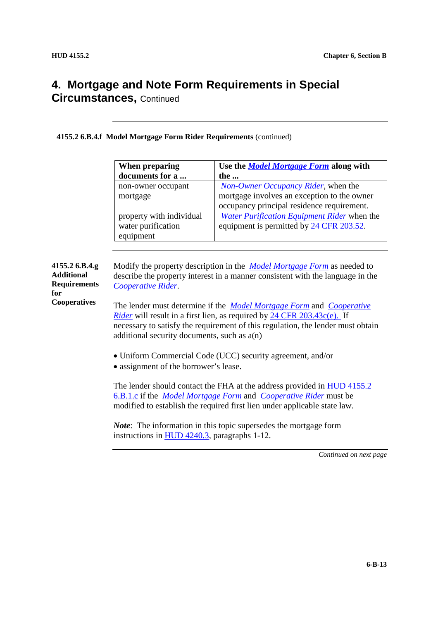**4155.2 6.B.4.f Model Mortgage Form Rider Requirements** (continued)

| When preparing           | Use the <b>Model Mortgage Form</b> along with |
|--------------------------|-----------------------------------------------|
| documents for a          | the                                           |
| non-owner occupant       | <b>Non-Owner Occupancy Rider</b> , when the   |
| mortgage                 | mortgage involves an exception to the owner   |
|                          | occupancy principal residence requirement.    |
| property with individual | Water Purification Equipment Rider when the   |
| water purification       | equipment is permitted by 24 CFR 203.52.      |
| equipment                |                                               |

**4155.2 6.B.4.g Additional Requirements for Cooperatives** Modify the property description in the *Model Mortgage Form* as needed to describe the property interest in a manner consistent with the language in the *Cooperative Rider*. The lender must determine if the *Model Mortgage Form* and *Cooperative Rider* will result in a first lien, as required by 24 CFR 203.43c(e). If necessary to satisfy the requirement of this regulation, the lender must obtain additional security documents, such as a(n) Uniform Commercial Code (UCC) security agreement, and/or • assignment of the borrower's lease. The lender should contact the FHA at the address provided in HUD 4155.2

6.B.1.c if the *Model Mortgage Form* and *Cooperative Rider* must be modified to establish the required first lien under applicable state law.

*Note*: The information in this topic supersedes the mortgage form instructions in HUD 4240.3, paragraphs 1-12.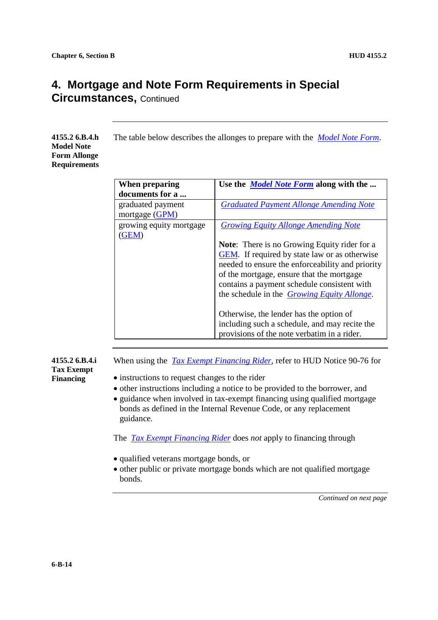**4155.2 6.B.4.h Model Note Form Allonge Requirements**

| When preparing          | Use the <i>Model Note Form</i> along with the       |
|-------------------------|-----------------------------------------------------|
| documents for a         |                                                     |
| graduated payment       | <b>Graduated Payment Allonge Amending Note</b>      |
| mortgage (GPM)          |                                                     |
| growing equity mortgage | <b>Growing Equity Allonge Amending Note</b>         |
| (GEM)                   |                                                     |
|                         | <b>Note:</b> There is no Growing Equity rider for a |
|                         | GEM. If required by state law or as otherwise       |
|                         | needed to ensure the enforceability and priority    |
|                         | of the mortgage, ensure that the mortgage           |
|                         | contains a payment schedule consistent with         |
|                         | the schedule in the <i>Growing Equity Allonge</i> . |
|                         |                                                     |
|                         | Otherwise, the lender has the option of             |
|                         | including such a schedule, and may recite the       |
|                         | provisions of the note verbatim in a rider.         |

The table below describes the allonges to prepare with the *Model Note Form*.

**4155.2 6.B.4.i Tax Exempt Financing**

When using the *Tax Exempt Financing Rider*, refer to HUD Notice 90-76 for

- instructions to request changes to the rider
- other instructions including a notice to be provided to the borrower, and
- guidance when involved in tax-exempt financing using qualified mortgage bonds as defined in the Internal Revenue Code, or any replacement guidance.

The *Tax Exempt Financing Rider* does *not* apply to financing through

- qualified veterans mortgage bonds, or
- other public or private mortgage bonds which are not qualified mortgage bonds.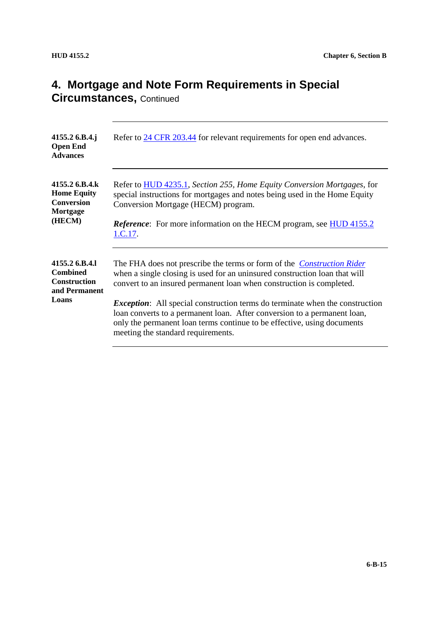| 4155.2 6.B.4.j<br><b>Open End</b><br><b>Advances</b>                               | Refer to 24 CFR 203.44 for relevant requirements for open end advances.                                                                                                                                                                                                                                                                                                                                                                                                                                                  |
|------------------------------------------------------------------------------------|--------------------------------------------------------------------------------------------------------------------------------------------------------------------------------------------------------------------------------------------------------------------------------------------------------------------------------------------------------------------------------------------------------------------------------------------------------------------------------------------------------------------------|
| 4155.2 6.B.4.k<br><b>Home Equity</b><br><b>Conversion</b><br>Mortgage<br>(HECM)    | Refer to <b>HUD</b> 4235.1, Section 255, Home Equity Conversion Mortgages, for<br>special instructions for mortgages and notes being used in the Home Equity<br>Conversion Mortgage (HECM) program.<br><b>Reference:</b> For more information on the HECM program, see HUD 4155.2                                                                                                                                                                                                                                        |
| 4155.2 6.B.4.1<br><b>Combined</b><br><b>Construction</b><br>and Permanent<br>Loans | The FHA does not prescribe the terms or form of the <i>Construction Rider</i><br>when a single closing is used for an uninsured construction loan that will<br>convert to an insured permanent loan when construction is completed.<br><i>Exception</i> : All special construction terms do terminate when the construction<br>loan converts to a permanent loan. After conversion to a permanent loan,<br>only the permanent loan terms continue to be effective, using documents<br>meeting the standard requirements. |
|                                                                                    | 1.C.17.                                                                                                                                                                                                                                                                                                                                                                                                                                                                                                                  |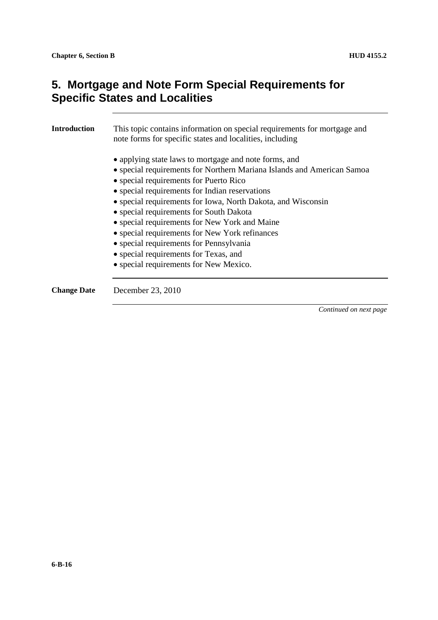| <b>Introduction</b> | This topic contains information on special requirements for mortgage and<br>note forms for specific states and localities, including                                                                                                                                                                                                                                                                                                                                                                                                                                    |
|---------------------|-------------------------------------------------------------------------------------------------------------------------------------------------------------------------------------------------------------------------------------------------------------------------------------------------------------------------------------------------------------------------------------------------------------------------------------------------------------------------------------------------------------------------------------------------------------------------|
|                     | • applying state laws to mortgage and note forms, and<br>• special requirements for Northern Mariana Islands and American Samoa<br>• special requirements for Puerto Rico<br>• special requirements for Indian reservations<br>• special requirements for Iowa, North Dakota, and Wisconsin<br>• special requirements for South Dakota<br>• special requirements for New York and Maine<br>• special requirements for New York refinances<br>• special requirements for Pennsylvania<br>• special requirements for Texas, and<br>• special requirements for New Mexico. |
| <b>Change Date</b>  | December 23, 2010                                                                                                                                                                                                                                                                                                                                                                                                                                                                                                                                                       |
|                     | Continued on next page                                                                                                                                                                                                                                                                                                                                                                                                                                                                                                                                                  |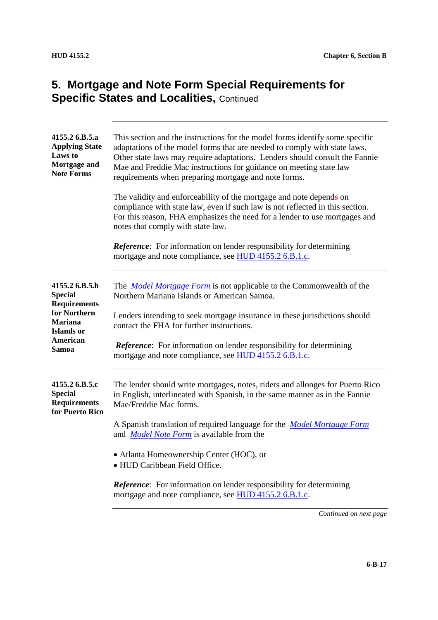| 4155.2 6.B.5.a<br><b>Applying State</b><br>Laws to<br>Mortgage and<br><b>Note Forms</b> | This section and the instructions for the model forms identify some specific<br>adaptations of the model forms that are needed to comply with state laws.<br>Other state laws may require adaptations. Lenders should consult the Fannie<br>Mae and Freddie Mac instructions for guidance on meeting state law<br>requirements when preparing mortgage and note forms. |
|-----------------------------------------------------------------------------------------|------------------------------------------------------------------------------------------------------------------------------------------------------------------------------------------------------------------------------------------------------------------------------------------------------------------------------------------------------------------------|
|                                                                                         | The validity and enforceability of the mortgage and note depends on<br>compliance with state law, even if such law is not reflected in this section.<br>For this reason, FHA emphasizes the need for a lender to use mortgages and<br>notes that comply with state law.                                                                                                |
|                                                                                         | <b>Reference:</b> For information on lender responsibility for determining<br>mortgage and note compliance, see HUD 4155.2 6.B.1.c.                                                                                                                                                                                                                                    |
| 4155.2 6.B.5.b<br><b>Special</b><br><b>Requirements</b>                                 | The <i>Model Mortgage Form</i> is not applicable to the Commonwealth of the<br>Northern Mariana Islands or American Samoa.                                                                                                                                                                                                                                             |
| for Northern<br>Mariana<br>Islands or                                                   | Lenders intending to seek mortgage insurance in these jurisdictions should<br>contact the FHA for further instructions.                                                                                                                                                                                                                                                |
| <b>American</b><br>Samoa                                                                | <b>Reference:</b> For information on lender responsibility for determining<br>mortgage and note compliance, see HUD 4155.2 6.B.1.c.                                                                                                                                                                                                                                    |
| 4155.2 6.B.5.c<br><b>Special</b><br><b>Requirements</b><br>for Puerto Rico              | The lender should write mortgages, notes, riders and allonges for Puerto Rico<br>in English, interlineated with Spanish, in the same manner as in the Fannie<br>Mae/Freddie Mac forms.                                                                                                                                                                                 |
|                                                                                         | A Spanish translation of required language for the <i>Model Mortgage Form</i><br>and <i>Model Note Form</i> is available from the                                                                                                                                                                                                                                      |
|                                                                                         | • Atlanta Homeownership Center (HOC), or<br>• HUD Caribbean Field Office.                                                                                                                                                                                                                                                                                              |
|                                                                                         | <b>Reference:</b> For information on lender responsibility for determining<br>mortgage and note compliance, see HUD 4155.2 6.B.1.c.                                                                                                                                                                                                                                    |
|                                                                                         |                                                                                                                                                                                                                                                                                                                                                                        |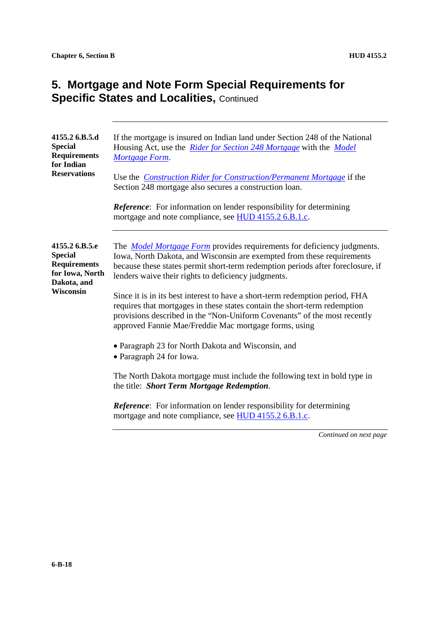| 4155.2 6.B.5.d<br><b>Special</b><br><b>Requirements</b><br>for Indian<br><b>Reservations</b> | If the mortgage is insured on Indian land under Section 248 of the National<br>Housing Act, use the <i>Rider for Section 248 Mortgage</i> with the <i>Model</i><br>Mortgage Form.<br>Use the Construction Rider for Construction/Permanent Mortgage if the                                         |
|----------------------------------------------------------------------------------------------|----------------------------------------------------------------------------------------------------------------------------------------------------------------------------------------------------------------------------------------------------------------------------------------------------|
|                                                                                              | Section 248 mortgage also secures a construction loan.<br><b>Reference:</b> For information on lender responsibility for determining<br>mortgage and note compliance, see HUD 4155.2 6.B.1.c.                                                                                                      |
| 4155.2 6.B.5.e<br><b>Special</b><br><b>Requirements</b><br>for Iowa, North<br>Dakota, and    | The <i>Model Mortgage Form</i> provides requirements for deficiency judgments.<br>Iowa, North Dakota, and Wisconsin are exempted from these requirements<br>because these states permit short-term redemption periods after foreclosure, if<br>lenders waive their rights to deficiency judgments. |
| Wisconsin                                                                                    | Since it is in its best interest to have a short-term redemption period, FHA<br>requires that mortgages in these states contain the short-term redemption<br>provisions described in the "Non-Uniform Covenants" of the most recently<br>approved Fannie Mae/Freddie Mac mortgage forms, using     |
|                                                                                              | • Paragraph 23 for North Dakota and Wisconsin, and<br>• Paragraph 24 for Iowa.                                                                                                                                                                                                                     |
|                                                                                              | The North Dakota mortgage must include the following text in bold type in<br>the title: Short Term Mortgage Redemption.                                                                                                                                                                            |
|                                                                                              | Reference: For information on lender responsibility for determining<br>mortgage and note compliance, see HUD 4155.2 6.B.1.c.                                                                                                                                                                       |
|                                                                                              | Continued on next page                                                                                                                                                                                                                                                                             |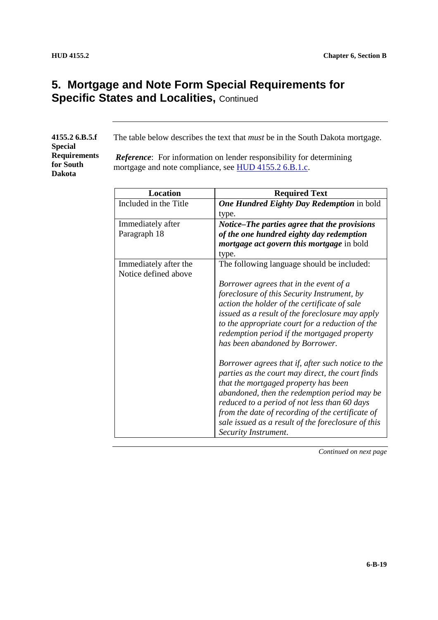| 4155.2 6.B.5.f      |
|---------------------|
| <b>Special</b>      |
| <b>Requirements</b> |
| for South           |
| Dakota              |

The table below describes the text that *must* be in the South Dakota mortgage.

*Reference*: For information on lender responsibility for determining mortgage and note compliance, see HUD 4155.2 6.B.1.c.

| <b>Location</b>       | <b>Required Text</b>                               |
|-----------------------|----------------------------------------------------|
| Included in the Title | <b>One Hundred Eighty Day Redemption in bold</b>   |
|                       | type.                                              |
| Immediately after     | Notice–The parties agree that the provisions       |
| Paragraph 18          | of the one hundred eighty day redemption           |
|                       | <i>mortgage act govern this mortgage in bold</i>   |
|                       | type.                                              |
| Immediately after the | The following language should be included:         |
| Notice defined above  |                                                    |
|                       | Borrower agrees that in the event of a             |
|                       | foreclosure of this Security Instrument, by        |
|                       | action the holder of the certificate of sale       |
|                       | issued as a result of the foreclosure may apply    |
|                       | to the appropriate court for a reduction of the    |
|                       | redemption period if the mortgaged property        |
|                       |                                                    |
|                       | has been abandoned by Borrower.                    |
|                       | Borrower agrees that if, after such notice to the  |
|                       | parties as the court may direct, the court finds   |
|                       | that the mortgaged property has been               |
|                       | abandoned, then the redemption period may be       |
|                       | reduced to a period of not less than 60 days       |
|                       | from the date of recording of the certificate of   |
|                       | sale issued as a result of the foreclosure of this |
|                       |                                                    |
|                       | Security Instrument.                               |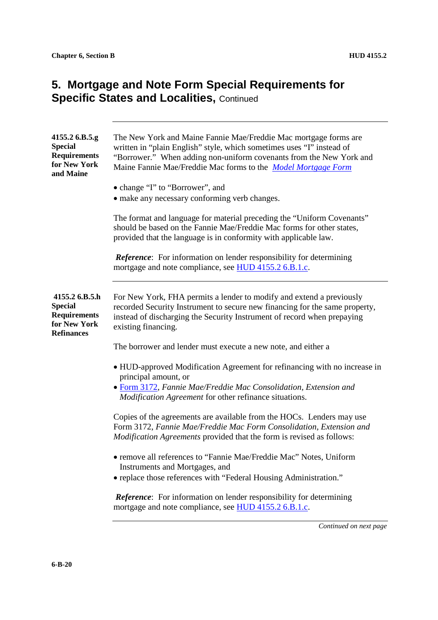| 4155.2 6.B.5.g<br><b>Special</b><br><b>Requirements</b><br>for New York<br>and Maine         | The New York and Maine Fannie Mae/Freddie Mac mortgage forms are<br>written in "plain English" style, which sometimes uses "I" instead of<br>"Borrower." When adding non-uniform covenants from the New York and<br>Maine Fannie Mae/Freddie Mac forms to the Model Mortgage Form |
|----------------------------------------------------------------------------------------------|-----------------------------------------------------------------------------------------------------------------------------------------------------------------------------------------------------------------------------------------------------------------------------------|
|                                                                                              | • change "I" to "Borrower", and<br>• make any necessary conforming verb changes.                                                                                                                                                                                                  |
|                                                                                              | The format and language for material preceding the "Uniform Covenants"<br>should be based on the Fannie Mae/Freddie Mac forms for other states,<br>provided that the language is in conformity with applicable law.                                                               |
|                                                                                              | Reference: For information on lender responsibility for determining<br>mortgage and note compliance, see HUD 4155.2 6.B.1.c.                                                                                                                                                      |
| 4155.2 6.B.5.h<br><b>Special</b><br><b>Requirements</b><br>for New York<br><b>Refinances</b> | For New York, FHA permits a lender to modify and extend a previously<br>recorded Security Instrument to secure new financing for the same property,<br>instead of discharging the Security Instrument of record when prepaying<br>existing financing.                             |
|                                                                                              | The borrower and lender must execute a new note, and either a                                                                                                                                                                                                                     |
|                                                                                              | • HUD-approved Modification Agreement for refinancing with no increase in<br>principal amount, or<br>• Form 3172, Fannie Mae/Freddie Mac Consolidation, Extension and                                                                                                             |
|                                                                                              | Modification Agreement for other refinance situations.                                                                                                                                                                                                                            |
|                                                                                              | Copies of the agreements are available from the HOCs. Lenders may use<br>Form 3172, Fannie Mae/Freddie Mac Form Consolidation, Extension and<br>Modification Agreements provided that the form is revised as follows:                                                             |
|                                                                                              | • remove all references to "Fannie Mae/Freddie Mac" Notes, Uniform<br>Instruments and Mortgages, and                                                                                                                                                                              |
|                                                                                              | • replace those references with "Federal Housing Administration."                                                                                                                                                                                                                 |
|                                                                                              | <b>Reference:</b> For information on lender responsibility for determining<br>mortgage and note compliance, see HUD 4155.2 6.B.1.c.                                                                                                                                               |
|                                                                                              | Continued on next page                                                                                                                                                                                                                                                            |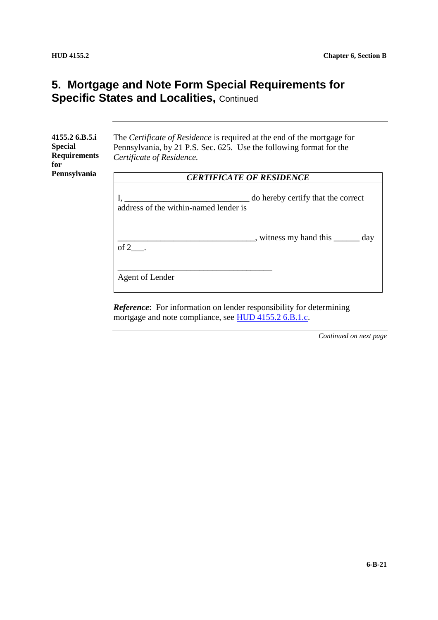| 4155.2 6.B.5.i<br><b>Special</b><br><b>Requirements</b><br>for | The Certificate of Residence is required at the end of the mortgage for<br>Pennsylvania, by 21 P.S. Sec. 625. Use the following format for the<br>Certificate of Residence. |  |
|----------------------------------------------------------------|-----------------------------------------------------------------------------------------------------------------------------------------------------------------------------|--|
| Pennsylvania                                                   | <b>CERTIFICATE OF RESIDENCE</b>                                                                                                                                             |  |
|                                                                | do hereby certify that the correct<br>address of the within-named lender is                                                                                                 |  |
|                                                                | witness my hand this <u>said</u> day<br>of $2$ .                                                                                                                            |  |
|                                                                | Agent of Lender                                                                                                                                                             |  |

*Reference*: For information on lender responsibility for determining mortgage and note compliance, see HUD 4155.2 6.B.1.c.